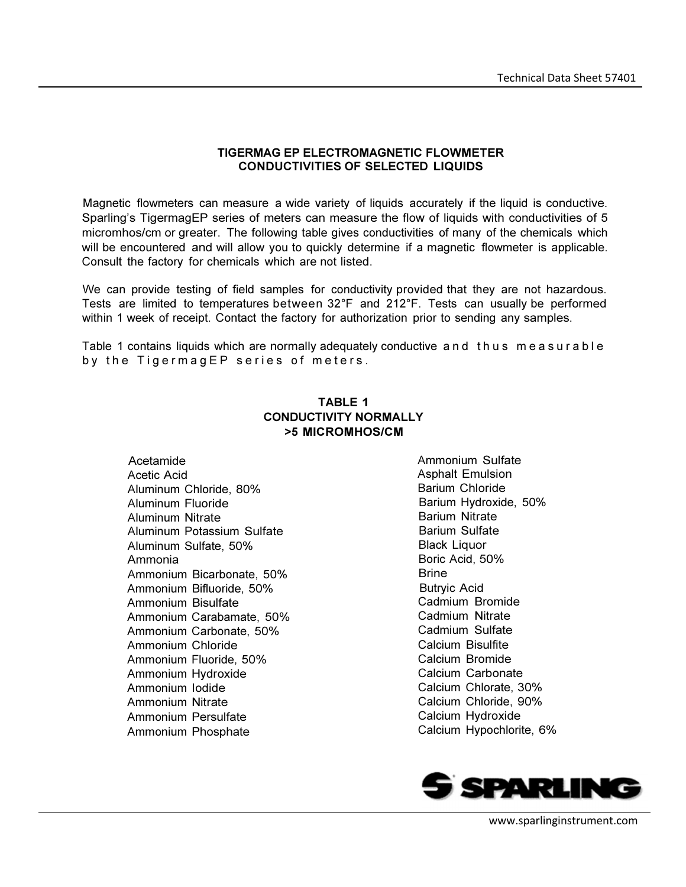## TIGERMAG EP ELECTROMAGNETIC FLOWMETER CONDUCTIVITIES OF SELECTED LIQUIDS

Magnetic flowmeters can measure a wide variety of liquids accurately if the liquid is conductive. Sparling's TigermagEP series of meters can measure the flow of liquids with conductivities of 5 micromhos/cm or greater. The following table gives conductivities of many of the chemicals which will be encountered and will allow you to quickly determine if a magnetic flowmeter is applicable. Consult the factory for chemicals which are not listed.

We can provide testing of field samples for conductivity provided that they are not hazardous. Tests are limited to temperatures between 32°F and 212°F. Tests can usually be performed within 1 week of receipt. Contact the factory for authorization prior to sending any samples.

Table 1 contains liquids which are normally adequately conductive and thus measurable by the TigermagEP series of meters.

## TABLE 1 CONDUCTIVITY NORMALLY >5 MICROMHOS/CM

Acetamide Acetic Acid Aluminum Chloride, 80% Aluminum Fluoride Aluminum Nitrate Aluminum Potassium Sulfate Aluminum Sulfate, 50% Ammonia Ammonium Bicarbonate, 50% Ammonium Bifluoride, 50% Ammonium Bisulfate Ammonium Carabamate, 50% Ammonium Carbonate, 50% Ammonium Chloride Ammonium Fluoride, 50% Ammonium Hydroxide Ammonium Iodide Ammonium Nitrate Ammonium Persulfate Ammonium Phosphate

Ammonium Sulfate Asphalt Emulsion Barium Chloride Barium Hydroxide, 50% Barium Nitrate Barium Sulfate Black Liquor Boric Acid, 50% Brine Butryic Acid Cadmium Bromide Cadmium Nitrate Cadmium Sulfate Calcium Bisulfite Calcium Bromide Calcium Carbonate Calcium Chlorate, 30% Calcium Chloride, 90% Calcium Hydroxide Calcium Hypochlorite, 6%